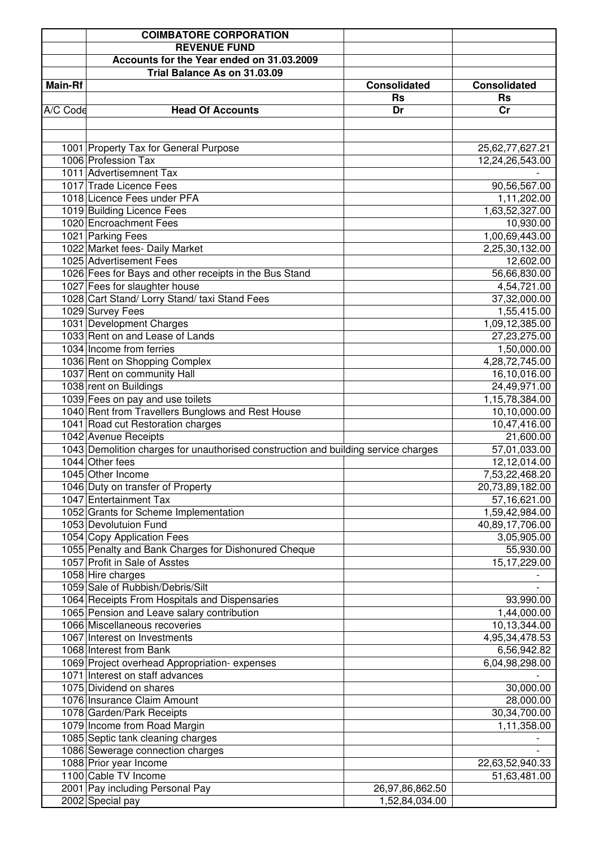|                | <b>COIMBATORE CORPORATION</b>                                                      |                     |                     |
|----------------|------------------------------------------------------------------------------------|---------------------|---------------------|
|                | <b>REVENUE FUND</b>                                                                |                     |                     |
|                | Accounts for the Year ended on 31.03.2009                                          |                     |                     |
|                | Trial Balance As on 31.03.09                                                       |                     |                     |
| <b>Main-Rf</b> |                                                                                    | <b>Consolidated</b> | <b>Consolidated</b> |
|                |                                                                                    | <b>Rs</b>           | <b>Rs</b>           |
| A/C Code       | <b>Head Of Accounts</b>                                                            | Dr                  | cr                  |
|                |                                                                                    |                     |                     |
|                |                                                                                    |                     |                     |
|                |                                                                                    |                     |                     |
|                | 1001 Property Tax for General Purpose<br>1006 Profession Tax                       |                     | 25,62,77,627.21     |
|                |                                                                                    |                     | 12,24,26,543.00     |
|                | 1011 Advertisemnent Tax                                                            |                     |                     |
|                | 1017 Trade Licence Fees                                                            |                     | 90,56,567.00        |
|                | 1018 Licence Fees under PFA                                                        |                     | 1,11,202.00         |
|                | 1019 Building Licence Fees                                                         |                     | 1,63,52,327.00      |
|                | 1020 Encroachment Fees                                                             |                     | 10,930.00           |
|                | 1021 Parking Fees                                                                  |                     | 1,00,69,443.00      |
|                | 1022 Market fees- Daily Market                                                     |                     | 2,25,30,132.00      |
|                | 1025 Advertisement Fees                                                            |                     | 12,602.00           |
|                | 1026 Fees for Bays and other receipts in the Bus Stand                             |                     | 56,66,830.00        |
|                | 1027 Fees for slaughter house                                                      |                     | 4,54,721.00         |
|                | 1028 Cart Stand/ Lorry Stand/ taxi Stand Fees                                      |                     | 37,32,000.00        |
|                | 1029 Survey Fees                                                                   |                     | 1,55,415.00         |
|                | 1031 Development Charges                                                           |                     | 1,09,12,385.00      |
|                | 1033 Rent on and Lease of Lands                                                    |                     | 27,23,275.00        |
|                | 1034 Income from ferries                                                           |                     | 1,50,000.00         |
|                | 1036 Rent on Shopping Complex                                                      |                     | 4,28,72,745.00      |
|                | 1037 Rent on community Hall                                                        |                     | 16,10,016.00        |
|                | 1038 rent on Buildings                                                             |                     | 24,49,971.00        |
|                | 1039 Fees on pay and use toilets                                                   |                     | 1,15,78,384.00      |
|                | 1040 Rent from Travellers Bunglows and Rest House                                  |                     | 10,10,000.00        |
|                | 1041 Road cut Restoration charges                                                  |                     | 10,47,416.00        |
|                | 1042 Avenue Receipts                                                               |                     | 21,600.00           |
|                | 1043 Demolition charges for unauthorised construction and building service charges |                     | 57,01,033.00        |
|                | 1044 Other fees                                                                    |                     | 12,12,014.00        |
|                | 1045 Other Income                                                                  |                     | 7,53,22,468.20      |
|                | 1046 Duty on transfer of Property                                                  |                     | 20,73,89,182.00     |
|                | 1047 Entertainment Tax                                                             |                     | 57,16,621.00        |
|                | 1052 Grants for Scheme Implementation                                              |                     | 1,59,42,984.00      |
|                | 1053 Devolutuion Fund                                                              |                     | 40,89,17,706.00     |
|                | 1054 Copy Application Fees                                                         |                     | 3,05,905.00         |
|                | 1055 Penalty and Bank Charges for Dishonured Cheque                                |                     | 55,930.00           |
|                | 1057 Profit in Sale of Asstes                                                      |                     | 15,17,229.00        |
|                | 1058 Hire charges                                                                  |                     |                     |
|                | 1059 Sale of Rubbish/Debris/Silt                                                   |                     |                     |
|                | 1064 Receipts From Hospitals and Dispensaries                                      |                     | 93,990.00           |
|                | 1065 Pension and Leave salary contribution                                         |                     | 1,44,000.00         |
|                | 1066 Miscellaneous recoveries                                                      |                     | 10,13,344.00        |
|                | 1067 Interest on Investments                                                       |                     | 4,95,34,478.53      |
|                | 1068 Interest from Bank                                                            |                     | 6,56,942.82         |
|                | 1069 Project overhead Appropriation-expenses                                       |                     | 6,04,98,298.00      |
|                | 1071 Interest on staff advances                                                    |                     |                     |
|                | 1075 Dividend on shares                                                            |                     | 30,000.00           |
|                | 1076 Insurance Claim Amount                                                        |                     | 28,000.00           |
|                | 1078 Garden/Park Receipts                                                          |                     | 30,34,700.00        |
|                | 1079 Income from Road Margin                                                       |                     | 1,11,358.00         |
|                | 1085 Septic tank cleaning charges                                                  |                     |                     |
|                | 1086 Sewerage connection charges                                                   |                     |                     |
|                | 1088 Prior year Income                                                             |                     | 22,63,52,940.33     |
|                | 1100 Cable TV Income                                                               |                     | 51,63,481.00        |
|                | 2001 Pay including Personal Pay                                                    | 26,97,86,862.50     |                     |
|                | 2002 Special pay                                                                   | 1,52,84,034.00      |                     |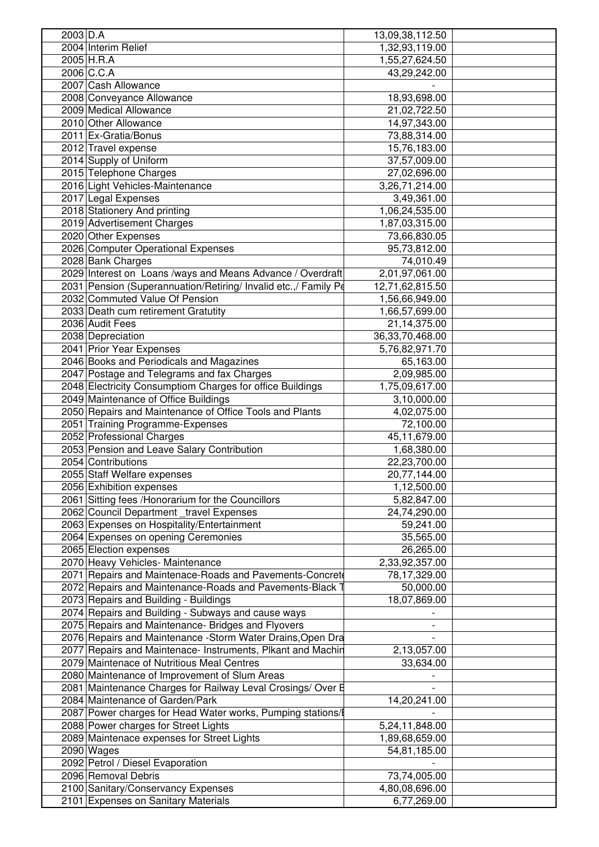| $2003$ D.A                                                      | 13,09,38,112.50                |  |
|-----------------------------------------------------------------|--------------------------------|--|
| 2004 Interim Relief                                             | 1,32,93,119.00                 |  |
| 2005 H.R.A                                                      | 1,55,27,624.50                 |  |
| 2006 C.C.A                                                      | 43,29,242.00                   |  |
| 2007 Cash Allowance                                             |                                |  |
| 2008 Conveyance Allowance                                       | 18,93,698.00                   |  |
| 2009 Medical Allowance                                          | 21,02,722.50                   |  |
| 2010 Other Allowance                                            | 14,97,343.00                   |  |
| 2011 Ex-Gratia/Bonus                                            | 73,88,314.00                   |  |
| 2012 Travel expense                                             | 15,76,183.00                   |  |
| 2014 Supply of Uniform                                          | 37,57,009.00                   |  |
| 2015 Telephone Charges                                          |                                |  |
|                                                                 | 27,02,696.00                   |  |
| 2016 Light Vehicles-Maintenance                                 | 3,26,71,214.00                 |  |
| 2017 Legal Expenses                                             | 3,49,361.00                    |  |
| 2018 Stationery And printing                                    | 1,06,24,535.00                 |  |
| 2019 Advertisement Charges                                      | 1,87,03,315.00                 |  |
| 2020 Other Expenses                                             | 73,66,830.05                   |  |
| 2026 Computer Operational Expenses                              | 95,73,812.00                   |  |
| 2028 Bank Charges                                               | 74,010.49                      |  |
| 2029 Interest on Loans /ways and Means Advance / Overdraft      | 2,01,97,061.00                 |  |
| 2031 Pension (Superannuation/Retiring/ Invalid etc.,/ Family Pe | 12,71,62,815.50                |  |
| 2032 Commuted Value Of Pension                                  | 1,56,66,949.00                 |  |
| 2033 Death cum retirement Gratutity                             | 1,66,57,699.00                 |  |
| 2036 Audit Fees                                                 | 21,14,375.00                   |  |
| 2038 Depreciation                                               | 36, 33, 70, 468. 00            |  |
| 2041 Prior Year Expenses                                        | 5,76,82,971.70                 |  |
| 2046 Books and Periodicals and Magazines                        | 65,163.00                      |  |
| 2047 Postage and Telegrams and fax Charges                      | 2,09,985.00                    |  |
| 2048 Electricity Consumptiom Charges for office Buildings       | 1,75,09,617.00                 |  |
| 2049 Maintenance of Office Buildings                            | 3,10,000.00                    |  |
| 2050 Repairs and Maintenance of Office Tools and Plants         | 4,02,075.00                    |  |
| 2051 Training Programme-Expenses                                | 72,100.00                      |  |
| 2052 Professional Charges                                       | 45,11,679.00                   |  |
| 2053 Pension and Leave Salary Contribution                      | 1,68,380.00                    |  |
| 2054 Contributions                                              | 22,23,700.00                   |  |
| 2055 Staff Welfare expenses                                     | 20,77,144.00                   |  |
| 2056 Exhibition expenses                                        | 1,12,500.00                    |  |
| 2061 Sitting fees / Honorarium for the Councillors              | 5,82,847.00                    |  |
| 2062 Council Department _travel Expenses                        | 24,74,290.00                   |  |
| 2063 Expenses on Hospitality/Entertainment                      |                                |  |
|                                                                 | 59,241.00                      |  |
| 2064 Expenses on opening Ceremonies                             | 35,565.00                      |  |
| 2065 Election expenses                                          |                                |  |
|                                                                 | 26,265.00                      |  |
| 2070 Heavy Vehicles- Maintenance                                | 2,33,92,357.00                 |  |
| 2071 Repairs and Maintenace-Roads and Pavements-Concret         | 78,17,329.00                   |  |
| 2072 Repairs and Maintenance-Roads and Pavements-Black T        | 50,000.00                      |  |
| 2073 Repairs and Building - Buildings                           | 18,07,869.00                   |  |
| 2074 Repairs and Building - Subways and cause ways              |                                |  |
| 2075 Repairs and Maintenance- Bridges and Flyovers              |                                |  |
| 2076 Repairs and Maintenance - Storm Water Drains, Open Dra     |                                |  |
| 2077 Repairs and Maintenace- Instruments, Plkant and Machir     | 2,13,057.00                    |  |
| 2079 Maintenace of Nutritious Meal Centres                      | 33,634.00                      |  |
| 2080 Maintenance of Improvement of Slum Areas                   |                                |  |
| 2081 Maintenance Charges for Railway Leval Crosings/ Over E     |                                |  |
| 2084 Maintenance of Garden/Park                                 | 14,20,241.00                   |  |
| 2087 Power charges for Head Water works, Pumping stations/I     |                                |  |
| 2088 Power charges for Street Lights                            | 5,24,11,848.00                 |  |
| 2089 Maintenace expenses for Street Lights                      | 1,89,68,659.00                 |  |
|                                                                 | 54,81,185.00                   |  |
| 2090 Wages<br>2092 Petrol / Diesel Evaporation                  |                                |  |
|                                                                 |                                |  |
| 2096 Removal Debris<br>2100 Sanitary/Conservancy Expenses       | 73,74,005.00<br>4,80,08,696.00 |  |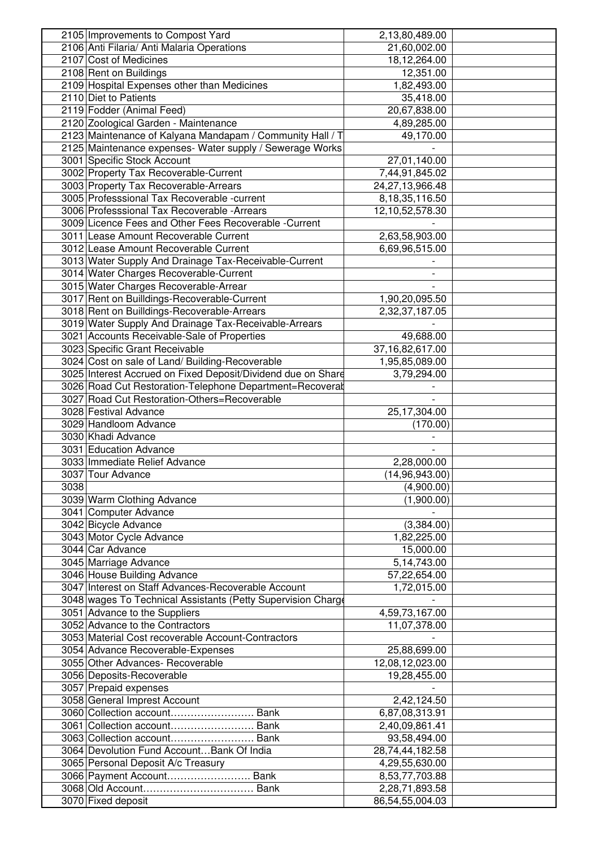| 2105 Improvements to Compost Yard                            | 2,13,80,489.00     |  |
|--------------------------------------------------------------|--------------------|--|
| 2106 Anti Filaria/ Anti Malaria Operations                   | 21,60,002.00       |  |
| 2107 Cost of Medicines                                       | 18,12,264.00       |  |
| 2108 Rent on Buildings                                       | 12,351.00          |  |
| 2109 Hospital Expenses other than Medicines                  | 1,82,493.00        |  |
| 2110 Diet to Patients                                        | 35,418.00          |  |
| 2119 Fodder (Animal Feed)                                    | 20,67,838.00       |  |
| 2120 Zoological Garden - Maintenance                         | 4,89,285.00        |  |
| 2123 Maintenance of Kalyana Mandapam / Community Hall / T    | 49,170.00          |  |
| 2125 Maintenance expenses- Water supply / Sewerage Works     |                    |  |
| 3001 Specific Stock Account                                  | 27,01,140.00       |  |
| 3002 Property Tax Recoverable-Current                        |                    |  |
|                                                              | 7,44,91,845.02     |  |
| 3003 Property Tax Recoverable-Arrears                        | 24,27,13,966.48    |  |
| 3005 Professsional Tax Recoverable -current                  | 8, 18, 35, 116.50  |  |
| 3006 Professsional Tax Recoverable - Arrears                 | 12,10,52,578.30    |  |
| 3009 Licence Fees and Other Fees Recoverable - Current       |                    |  |
| 3011 Lease Amount Recoverable Current                        | 2,63,58,903.00     |  |
| 3012 Lease Amount Recoverable Current                        | 6,69,96,515.00     |  |
| 3013 Water Supply And Drainage Tax-Receivable-Current        |                    |  |
| 3014 Water Charges Recoverable-Current                       |                    |  |
| 3015 Water Charges Recoverable-Arrear                        |                    |  |
| 3017 Rent on Builldings-Recoverable-Current                  | 1,90,20,095.50     |  |
| 3018 Rent on Builldings-Recoverable-Arrears                  | 2,32,37,187.05     |  |
| 3019 Water Supply And Drainage Tax-Receivable-Arrears        |                    |  |
| 3021 Accounts Receivable-Sale of Properties                  | 49,688.00          |  |
| 3023 Specific Grant Receivable                               | 37, 16, 82, 617.00 |  |
| 3024 Cost on sale of Land/ Building-Recoverable              | 1,95,85,089.00     |  |
| 3025 Interest Accrued on Fixed Deposit/Dividend due on Share | 3,79,294.00        |  |
| 3026 Road Cut Restoration-Telephone Department=Recoveral     |                    |  |
| 3027 Road Cut Restoration-Others=Recoverable                 |                    |  |
| 3028 Festival Advance                                        |                    |  |
|                                                              | 25,17,304.00       |  |
| 3029 Handloom Advance                                        | (170.00)           |  |
| 3030 Khadi Advance                                           |                    |  |
| 3031 Education Advance                                       |                    |  |
| 3033 Immediate Relief Advance                                | 2,28,000.00        |  |
| 3037 Tour Advance                                            | (14, 96, 943.00)   |  |
| 3038                                                         | (4,900.00)         |  |
| 3039 Warm Clothing Advance                                   | (1,900.00)         |  |
| 3041 Computer Advance                                        |                    |  |
| 3042 Bicycle Advance                                         | (3,384.00)         |  |
| 3043 Motor Cycle Advance                                     | 1,82,225.00        |  |
| 3044 Car Advance                                             | 15,000.00          |  |
| 3045 Marriage Advance                                        | 5, 14, 743.00      |  |
| 3046 House Building Advance                                  | 57,22,654.00       |  |
| 3047 Interest on Staff Advances-Recoverable Account          | 1,72,015.00        |  |
| 3048 wages To Technical Assistants (Petty Supervision Charge |                    |  |
| 3051 Advance to the Suppliers                                | 4,59,73,167.00     |  |
| 3052 Advance to the Contractors                              | 11,07,378.00       |  |
| 3053 Material Cost recoverable Account-Contractors           |                    |  |
| 3054 Advance Recoverable-Expenses                            | 25,88,699.00       |  |
| 3055 Other Advances- Recoverable                             |                    |  |
|                                                              | 12,08,12,023.00    |  |
| 3056 Deposits-Recoverable                                    | 19,28,455.00       |  |
| 3057 Prepaid expenses                                        |                    |  |
| 3058 General Imprest Account                                 | 2,42,124.50        |  |
| 3060 Collection account Bank                                 | 6,87,08,313.91     |  |
| 3061 Collection account Bank                                 | 2,40,09,861.41     |  |
| 3063 Collection account Bank                                 | 93,58,494.00       |  |
| 3064 Devolution Fund Account Bank Of India                   | 28,74,44,182.58    |  |
| 3065 Personal Deposit A/c Treasury                           | 4,29,55,630.00     |  |
| 3066 Payment Account Bank                                    | 8,53,77,703.88     |  |
|                                                              | 2,28,71,893.58     |  |
| 3070 Fixed deposit                                           | 86,54,55,004.03    |  |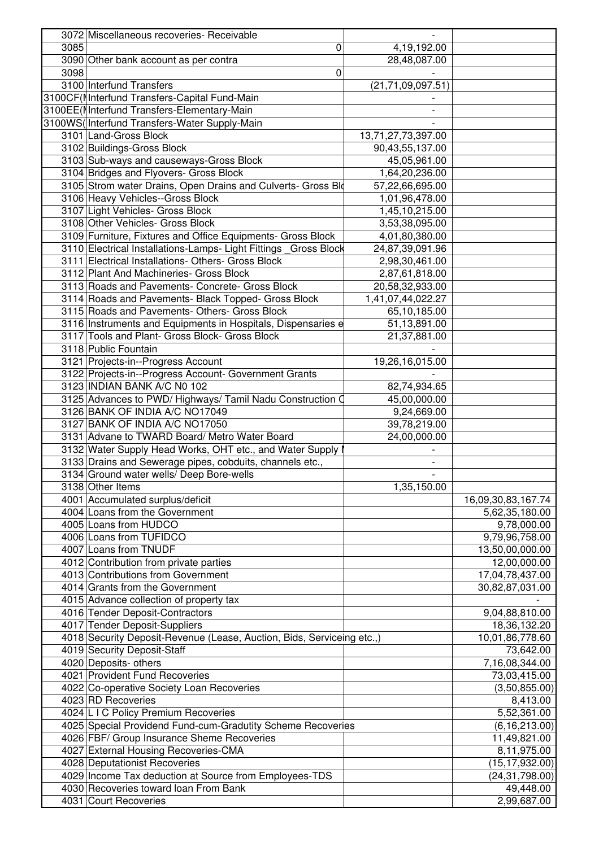|      | 3072 Miscellaneous recoveries- Receivable                              |                      |                    |
|------|------------------------------------------------------------------------|----------------------|--------------------|
| 3085 | 0                                                                      | 4, 19, 192.00        |                    |
|      | 3090 Other bank account as per contra                                  | 28,48,087.00         |                    |
| 3098 | 0                                                                      |                      |                    |
|      | 3100 Interfund Transfers                                               | (21, 71, 09, 097.51) |                    |
|      | 3100CF(Ilnterfund Transfers-Capital Fund-Main                          |                      |                    |
|      | 3100EE(I Interfund Transfers-Elementary-Main                           |                      |                    |
|      | 3100WS(Interfund Transfers-Water Supply-Main                           |                      |                    |
|      | 3101 Land-Gross Block                                                  | 13,71,27,73,397.00   |                    |
|      |                                                                        |                      |                    |
|      | 3102 Buildings-Gross Block                                             | 90,43,55,137.00      |                    |
|      | 3103 Sub-ways and causeways-Gross Block                                | 45,05,961.00         |                    |
|      | 3104 Bridges and Flyovers- Gross Block                                 | 1,64,20,236.00       |                    |
|      | 3105 Strom water Drains, Open Drains and Culverts- Gross Blo           | 57,22,66,695.00      |                    |
|      | 3106 Heavy Vehicles--Gross Block                                       | 1,01,96,478.00       |                    |
|      | 3107 Light Vehicles- Gross Block                                       | 1,45,10,215.00       |                    |
|      | 3108 Other Vehicles- Gross Block                                       | 3,53,38,095.00       |                    |
|      | 3109 Furniture, Fixtures and Office Equipments- Gross Block            | 4,01,80,380.00       |                    |
|      | 3110 Electrical Installations-Lamps- Light Fittings _Gross Block       | 24,87,39,091.96      |                    |
|      | 3111 Electrical Installations- Others- Gross Block                     | 2,98,30,461.00       |                    |
|      | 3112 Plant And Machineries- Gross Block                                | 2,87,61,818.00       |                    |
|      | 3113 Roads and Pavements- Concrete- Gross Block                        | 20,58,32,933.00      |                    |
|      | 3114 Roads and Pavements- Black Topped- Gross Block                    | 1,41,07,44,022.27    |                    |
|      | 3115 Roads and Pavements- Others- Gross Block                          | 65,10,185.00         |                    |
|      | 3116 Instruments and Equipments in Hospitals, Dispensaries e           | 51,13,891.00         |                    |
|      | 3117 Tools and Plant- Gross Block- Gross Block                         | 21,37,881.00         |                    |
|      | 3118 Public Fountain                                                   |                      |                    |
|      | 3121 Projects-in--Progress Account                                     | 19,26,16,015.00      |                    |
|      | 3122 Projects-in--Progress Account- Government Grants                  |                      |                    |
|      | 3123 INDIAN BANK A/C N0 102                                            | 82,74,934.65         |                    |
|      | 3125 Advances to PWD/ Highways/ Tamil Nadu Construction C              | 45,00,000.00         |                    |
|      | 3126 BANK OF INDIA A/C NO17049                                         | 9,24,669.00          |                    |
|      | 3127 BANK OF INDIA A/C NO17050                                         | 39,78,219.00         |                    |
|      | 3131 Advane to TWARD Board/ Metro Water Board                          | 24,00,000.00         |                    |
|      | 3132 Water Supply Head Works, OHT etc., and Water Supply I             |                      |                    |
|      | 3133 Drains and Sewerage pipes, cobduits, channels etc.,               |                      |                    |
|      | 3134 Ground water wells/ Deep Bore-wells                               |                      |                    |
|      | 3138 Other Items                                                       | 1,35,150.00          |                    |
|      | 4001 Accumulated surplus/deficit                                       |                      |                    |
|      |                                                                        |                      | 16,09,30,83,167.74 |
|      | 4004 Loans from the Government                                         |                      | 5,62,35,180.00     |
|      | 4005 Loans from HUDCO                                                  |                      | 9,78,000.00        |
|      | 4006 Loans from TUFIDCO                                                |                      | 9,79,96,758.00     |
|      | 4007 Loans from TNUDF                                                  |                      | 13,50,00,000.00    |
|      | 4012 Contribution from private parties                                 |                      | 12,00,000.00       |
|      | 4013 Contributions from Government                                     |                      | 17,04,78,437.00    |
|      | 4014 Grants from the Government                                        |                      | 30,82,87,031.00    |
|      | 4015 Advance collection of property tax                                |                      |                    |
|      | 4016 Tender Deposit-Contractors                                        |                      | 9,04,88,810.00     |
|      | 4017 Tender Deposit-Suppliers                                          |                      | 18,36,132.20       |
|      | 4018 Security Deposit-Revenue (Lease, Auction, Bids, Serviceing etc.,) |                      | 10,01,86,778.60    |
|      | 4019 Security Deposit-Staff                                            |                      | 73,642.00          |
|      | 4020 Deposits- others                                                  |                      | 7,16,08,344.00     |
|      | 4021 Provident Fund Recoveries                                         |                      | 73,03,415.00       |
|      | 4022 Co-operative Society Loan Recoveries                              |                      | (3,50,855.00)      |
|      | 4023 RD Recoveries                                                     |                      | 8,413.00           |
|      | 4024 L I C Policy Premium Recoveries                                   |                      | 5,52,361.00        |
|      | 4025 Special Providend Fund-cum-Gradutity Scheme Recoveries            |                      | (6, 16, 213.00)    |
|      | 4026 FBF/ Group Insurance Sheme Recoveries                             |                      | 11,49,821.00       |
|      | 4027 External Housing Recoveries-CMA                                   |                      | 8,11,975.00        |
|      | 4028 Deputationist Recoveries                                          |                      | (15, 17, 932.00)   |
|      | 4029 Income Tax deduction at Source from Employees-TDS                 |                      | (24, 31, 798.00)   |
|      | 4030 Recoveries toward loan From Bank                                  |                      | 49,448.00          |
|      | 4031 Court Recoveries                                                  |                      | 2,99,687.00        |